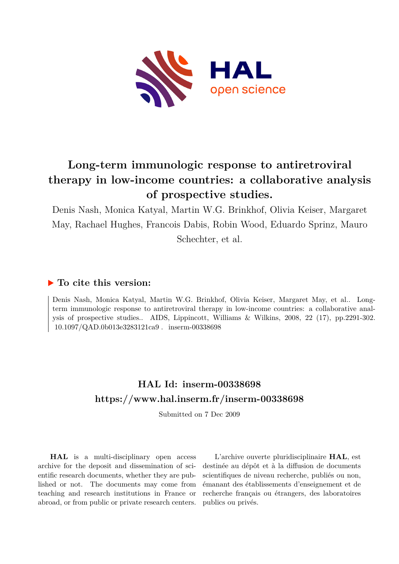

## **Long-term immunologic response to antiretroviral therapy in low-income countries: a collaborative analysis of prospective studies.**

Denis Nash, Monica Katyal, Martin W.G. Brinkhof, Olivia Keiser, Margaret May, Rachael Hughes, Francois Dabis, Robin Wood, Eduardo Sprinz, Mauro Schechter, et al.

## **To cite this version:**

Denis Nash, Monica Katyal, Martin W.G. Brinkhof, Olivia Keiser, Margaret May, et al.. Longterm immunologic response to antiretroviral therapy in low-income countries: a collaborative analysis of prospective studies.. AIDS, Lippincott, Williams & Wilkins, 2008, 22 (17), pp.2291-302.  $10.1097/\mathbf{QAD}.0b013e3283121ca9$  .  ${ \bf inserm-00338698}$ 

## **HAL Id: inserm-00338698 <https://www.hal.inserm.fr/inserm-00338698>**

Submitted on 7 Dec 2009

**HAL** is a multi-disciplinary open access archive for the deposit and dissemination of scientific research documents, whether they are published or not. The documents may come from teaching and research institutions in France or abroad, or from public or private research centers.

L'archive ouverte pluridisciplinaire **HAL**, est destinée au dépôt et à la diffusion de documents scientifiques de niveau recherche, publiés ou non, émanant des établissements d'enseignement et de recherche français ou étrangers, des laboratoires publics ou privés.